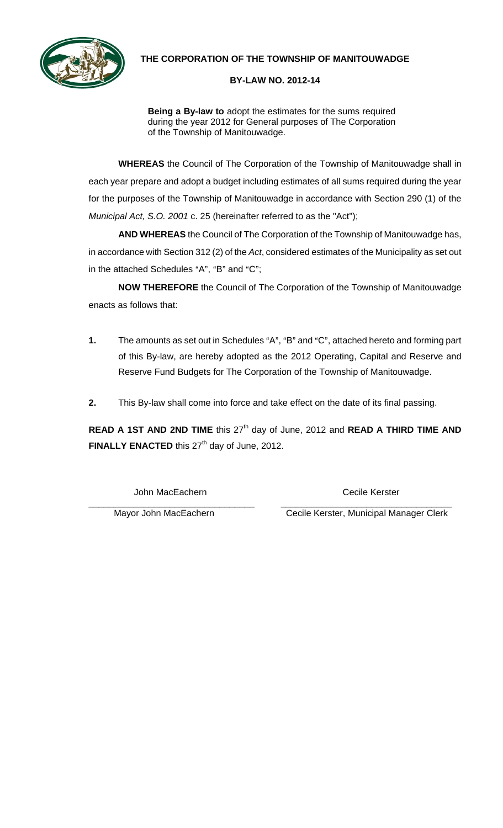

## **THE CORPORATION OF THE TOWNSHIP OF MANITOUWADGE**

## **BY-LAW NO. 2012-14**

**Being a By-law to** adopt the estimates for the sums required during the year 2012 for General purposes of The Corporation of the Township of Manitouwadge.

**WHEREAS** the Council of The Corporation of the Township of Manitouwadge shall in each year prepare and adopt a budget including estimates of all sums required during the year for the purposes of the Township of Manitouwadge in accordance with Section 290 (1) of the *Municipal Act, S.O. 2001* c. 25 (hereinafter referred to as the "Act");

**AND WHEREAS** the Council of The Corporation of the Township of Manitouwadge has, in accordance with Section 312 (2) of the *Act*, considered estimates of the Municipality as set out in the attached Schedules "A", "B" and " $C$ ";

**NOW THEREFORE** the Council of The Corporation of the Township of Manitouwadge enacts as follows that:

- **1.** The amounts as set out in Schedules "A", "B" and "C", attached hereto and forming part of this By-law, are hereby adopted as the 2012 Operating, Capital and Reserve and Reserve Fund Budgets for The Corporation of the Township of Manitouwadge.
- **2.** This By-law shall come into force and take effect on the date of its final passing.

**READ A 1ST AND 2ND TIME** this 27<sup>th</sup> day of June, 2012 and **READ A THIRD TIME AND** FINALLY ENACTED this 27<sup>th</sup> day of June, 2012.

John MacEachern Cecile Kerster

\_\_\_\_\_\_\_\_\_\_\_\_\_\_\_\_\_\_\_\_\_\_\_\_\_\_\_\_\_\_\_\_\_ \_\_\_\_\_\_\_\_\_\_\_\_\_\_\_\_\_\_\_\_\_\_\_\_\_\_\_\_\_\_\_\_\_\_ Mayor John MacEachern Cecile Kerster, Municipal Manager Clerk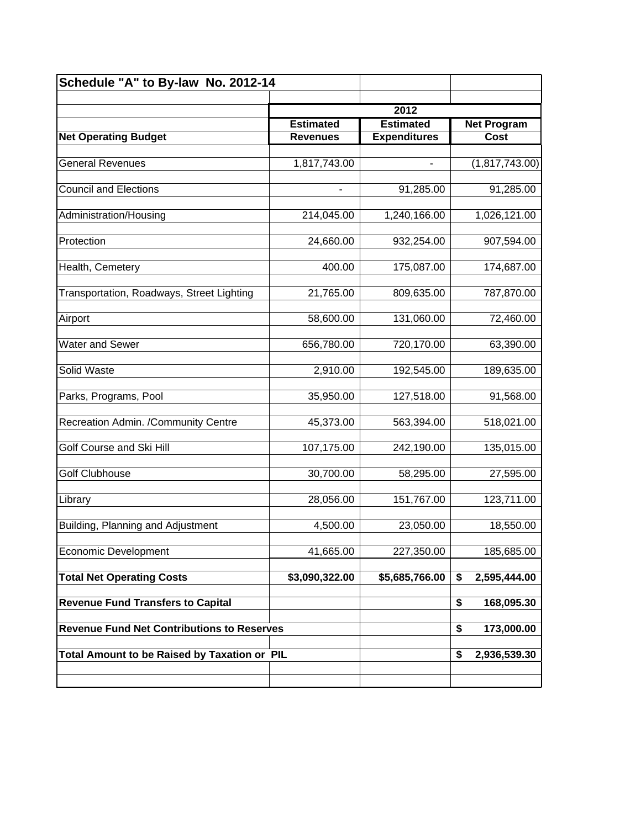| Schedule "A" to By-law No. 2012-14                |                  |                                         |            |                |
|---------------------------------------------------|------------------|-----------------------------------------|------------|----------------|
|                                                   |                  | 2012                                    |            |                |
|                                                   | <b>Estimated</b> | <b>Net Program</b>                      |            |                |
| <b>Net Operating Budget</b>                       | <b>Revenues</b>  | <b>Estimated</b><br><b>Expenditures</b> |            | Cost           |
|                                                   |                  |                                         |            |                |
| <b>General Revenues</b>                           | 1,817,743.00     | -                                       |            | (1,817,743.00) |
| <b>Council and Elections</b>                      | -                | 91,285.00                               |            | 91,285.00      |
| Administration/Housing                            | 214,045.00       | 1,240,166.00                            |            | 1,026,121.00   |
| Protection                                        | 24,660.00        | 932,254.00                              |            | 907,594.00     |
| Health, Cemetery                                  | 400.00           | 175,087.00                              |            | 174,687.00     |
| Transportation, Roadways, Street Lighting         | 21,765.00        | 809,635.00                              |            | 787,870.00     |
| Airport                                           | 58,600.00        | 131,060.00                              |            | 72,460.00      |
| <b>Water and Sewer</b>                            | 656,780.00       | 720,170.00                              |            | 63,390.00      |
| Solid Waste                                       | 2,910.00         | 192,545.00                              |            | 189,635.00     |
| Parks, Programs, Pool                             | 35,950.00        | 127,518.00                              |            | 91,568.00      |
| Recreation Admin. /Community Centre               | 45,373.00        | 563,394.00                              |            | 518,021.00     |
| Golf Course and Ski Hill                          | 107,175.00       | 242,190.00                              |            | 135,015.00     |
| <b>Golf Clubhouse</b>                             | 30,700.00        | 58,295.00                               |            | 27,595.00      |
| Library                                           | 28,056.00        | 151,767.00                              |            | 123,711.00     |
| Building, Planning and Adjustment                 | 4,500.00         | 23,050.00                               |            | 18,550.00      |
| <b>Economic Development</b>                       | 41,665.00        | 227,350.00                              |            | 185,685.00     |
| <b>Total Net Operating Costs</b>                  | \$3,090,322.00   | \$5,685,766.00                          | \$         | 2,595,444.00   |
| <b>Revenue Fund Transfers to Capital</b>          |                  |                                         | \$         | 168,095.30     |
| <b>Revenue Fund Net Contributions to Reserves</b> |                  | \$                                      | 173,000.00 |                |
| Total Amount to be Raised by Taxation or PIL      |                  |                                         | \$         | 2,936,539.30   |
|                                                   |                  |                                         |            |                |
|                                                   |                  |                                         |            |                |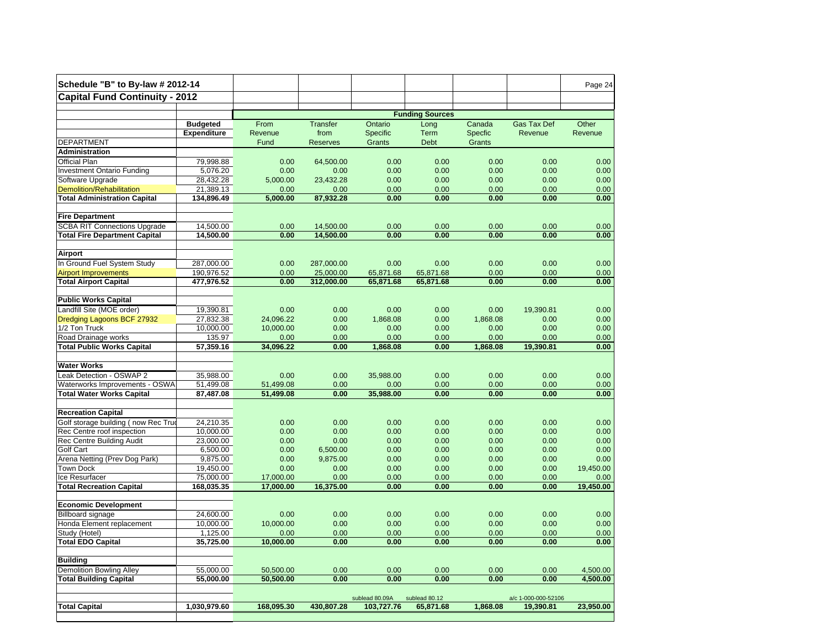| Schedule "B" to By-law # 2012-14            |                        |                        |                 |                              |                            |                  |                                  | Page 24      |
|---------------------------------------------|------------------------|------------------------|-----------------|------------------------------|----------------------------|------------------|----------------------------------|--------------|
| <b>Capital Fund Continuity - 2012</b>       |                        |                        |                 |                              |                            |                  |                                  |              |
|                                             |                        | <b>Funding Sources</b> |                 |                              |                            |                  |                                  |              |
|                                             | <b>Budgeted</b>        | From                   | <b>Transfer</b> | Ontario                      | Long                       | Canada           | Gas Tax Def                      | Other        |
|                                             | <b>Expenditure</b>     | Revenue                | from            | Specific                     | Term                       | Specfic          | Revenue                          | Revenue      |
| <b>DEPARTMENT</b>                           |                        | Fund                   | <b>Reserves</b> | Grants                       | Debt                       | Grants           |                                  |              |
| Administration                              |                        |                        |                 |                              |                            |                  |                                  |              |
| Official Plan                               | 79,998.88              | 0.00                   | 64,500.00       | 0.00                         | 0.00                       | 0.00             | 0.00                             | 0.00         |
| <b>Investment Ontario Funding</b>           | 5,076.20               | 0.00                   | 0.00            | 0.00                         | 0.00                       | 0.00             | 0.00                             | 0.00         |
| Software Upgrade                            | 28,432.28              | 5,000.00               | 23,432.28       | 0.00                         | 0.00                       | 0.00             | 0.00                             | 0.00         |
| <b>Demolition/Rehabilitation</b>            | 21,389.13              | 0.00                   | 0.00            | 0.00                         | 0.00                       | 0.00             | 0.00                             | 0.00         |
| <b>Total Administration Capital</b>         | 134,896.49             | 5,000.00               | 87,932.28       | 0.00                         | 0.00                       | 0.00             | 0.00                             | 0.00         |
| <b>Fire Department</b>                      |                        |                        |                 |                              |                            |                  |                                  |              |
| <b>SCBA RIT Connections Upgrade</b>         | 14,500.00              | 0.00                   | 14,500.00       | 0.00                         | 0.00                       | 0.00             | 0.00                             | 0.00         |
| <b>Total Fire Department Capital</b>        | 14,500.00              | 0.00                   | 14,500.00       | 0.00                         | 0.00                       | 0.00             | 0.00                             | 0.00         |
|                                             |                        |                        |                 |                              |                            |                  |                                  |              |
| Airport                                     |                        |                        |                 |                              |                            |                  |                                  |              |
| In Ground Fuel System Study                 | 287,000.00             | 0.00                   | 287,000.00      | 0.00                         | 0.00                       | 0.00             | 0.00                             | 0.00         |
| <b>Airport Improvements</b>                 | 190,976.52             | 0.00                   | 25,000.00       | 65,871.68                    | 65,871.68                  | 0.00             | 0.00                             | 0.00         |
| <b>Total Airport Capital</b>                | 477,976.52             | 0.00                   | 312,000.00      | 65,871.68                    | 65,871.68                  | 0.00             | 0.00                             | 0.00         |
| <b>Public Works Capital</b>                 |                        |                        |                 |                              |                            |                  |                                  |              |
|                                             |                        |                        | 0.00            |                              |                            |                  |                                  |              |
| Landfill Site (MOE order)                   | 19,390.81              | 0.00                   | 0.00            | 0.00<br>1.868.08             | 0.00<br>0.00               | 0.00<br>1.868.08 | 19,390.81                        | 0.00<br>0.00 |
| Dredging Lagoons BCF 27932<br>1/2 Ton Truck | 27,832.38<br>10,000.00 | 24.096.22<br>10,000.00 | 0.00            | 0.00                         | 0.00                       |                  | 0.00<br>0.00                     | 0.00         |
| Road Drainage works                         | 135.97                 | 0.00                   | 0.00            | 0.00                         | 0.00                       | 0.00<br>0.00     | 0.00                             | 0.00         |
| <b>Total Public Works Capital</b>           | 57,359.16              | 34,096.22              | 0.00            | 1,868.08                     | 0.00                       | 1,868.08         | 19,390.81                        | 0.00         |
|                                             |                        |                        |                 |                              |                            |                  |                                  |              |
| <b>Water Works</b>                          |                        |                        |                 |                              |                            |                  |                                  |              |
| Leak Detection - OSWAP 2                    | 35.988.00              | 0.00                   | 0.00            | 35,988.00                    | 0.00                       | 0.00             | 0.00                             | 0.00         |
| Waterworks Improvements - OSWA              | 51,499.08              | 51,499.08              | 0.00            | 0.00                         | 0.00                       | 0.00             | 0.00                             | 0.00         |
| <b>Total Water Works Capital</b>            | 87,487.08              | 51,499.08              | 0.00            | 35,988.00                    | 0.00                       | 0.00             | 0.00                             | 0.00         |
|                                             |                        |                        |                 |                              |                            |                  |                                  |              |
| <b>Recreation Capital</b>                   |                        |                        |                 |                              |                            |                  |                                  |              |
| Golf storage building (now Rec True         | 24,210.35              | 0.00                   | 0.00            | 0.00                         | 0.00                       | 0.00             | 0.00                             | 0.00         |
| Rec Centre roof inspection                  | 10,000.00              | 0.00                   | 0.00            | 0.00                         | 0.00                       | 0.00             | 0.00                             | 0.00         |
| Rec Centre Building Audit                   | 23.000.00              | 0.00                   | 0.00            | 0.00                         | 0.00                       | 0.00             | 0.00                             | 0.00         |
| Golf Cart                                   | 6,500.00               | 0.00                   | 6,500.00        | 0.00                         | 0.00                       | 0.00             | 0.00                             | 0.00         |
| Arena Netting (Prev Dog Park)               | 9,875.00               | 0.00                   | 9,875.00        | 0.00                         | 0.00                       | 0.00             | 0.00                             | 0.00         |
| <b>Town Dock</b>                            | 19,450.00              | 0.00                   | 0.00            | 0.00                         | 0.00                       | 0.00             | 0.00                             | 19,450.00    |
| Ice Resurfacer                              | 75,000.00              | 17,000.00              | 0.00            | 0.00                         | 0.00                       | 0.00             | 0.00                             | 0.00         |
| <b>Total Recreation Capital</b>             | 168,035.35             | 17,000.00              | 16,375.00       | 0.00                         | 0.00                       | 0.00             | 0.00                             | 19,450.00    |
| <b>Economic Development</b>                 |                        |                        |                 |                              |                            |                  |                                  |              |
| <b>Billboard signage</b>                    | 24,600.00              | 0.00                   | 0.00            | 0.00                         | 0.00                       | 0.00             | 0.00                             | 0.00         |
| Honda Element replacement                   | 10,000.00              | 10,000.00              | 0.00            | 0.00                         | 0.00                       | 0.00             | 0.00                             | 0.00         |
| Study (Hotel)                               | 1,125.00               | 0.00                   | 0.00            | 0.00                         | 0.00                       | 0.00             | 0.00                             | 0.00         |
| <b>Total EDO Capital</b>                    | 35,725.00              | 10,000.00              | 0.00            | 0.00                         | 0.00                       | 0.00             | 0.00                             | 0.00         |
|                                             |                        |                        |                 |                              |                            |                  |                                  |              |
| <b>Building</b>                             |                        |                        |                 |                              |                            |                  |                                  |              |
| <b>Demolition Bowling Alley</b>             | 55,000.00              | 50,500.00              | 0.00            | 0.00                         | 0.00                       | 0.00             | 0.00                             | 4,500.00     |
| <b>Total Building Capital</b>               | 55,000.00              | 50,500.00              | 0.00            | 0.00                         | 0.00                       | 0.00             | 0.00                             | 4.500.00     |
|                                             |                        |                        |                 |                              |                            |                  |                                  |              |
| <b>Total Capital</b>                        | 1,030,979.60           | 168,095.30             | 430,807.28      | sublead 80.09A<br>103,727.76 | sublead 80.12<br>65,871.68 | 1,868.08         | a/c 1-000-000-52106<br>19,390.81 | 23,950.00    |
|                                             |                        |                        |                 |                              |                            |                  |                                  |              |